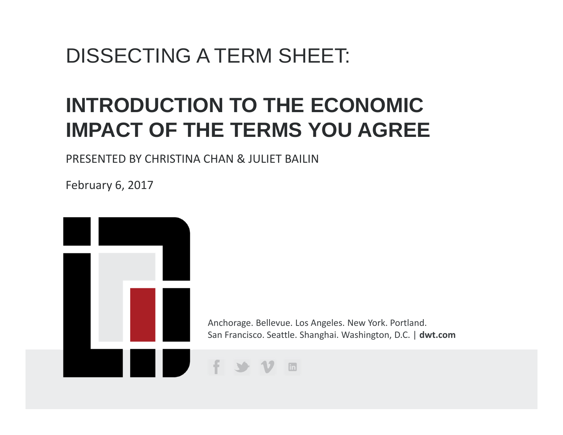# DISSECTING A TERM SHEET:

# **INTRODUCTION TO THE ECONOMIC IMPACT OF THE TERMS YOU AGREE**

PRESENTED BY CHRISTINA CHAN & JULIET BAILIN

February 6, 2017

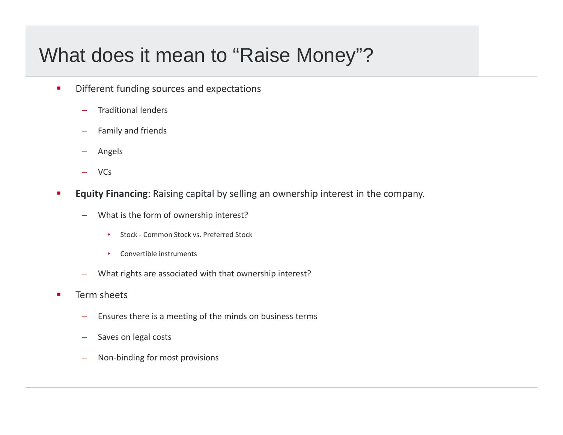# What does it mean to "Raise Money"?

- $\blacksquare$  Different funding sources and expectations
	- Traditional lenders
	- Family and friends
	- Angels
	- VCs
- п **Equity Financing**: Raising capital by selling an ownership interest in the company.
	- What is the form of ownership interest?
		- $\bullet$ ● Stock - Common Stock vs. Preferred Stock
		- •• Convertible instruments
	- What rights are associated with that ownership interest?
- $\blacksquare$ **Term sheets** 
	- Ensures there is a meeting of the minds on business terms
	- Saves on legal costs
	- Non‐binding for most provisions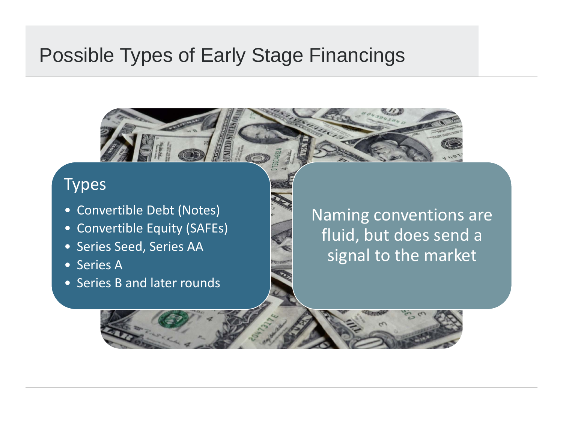## Possible Types of Early Stage Financings

### Types

- Convertible Debt (Notes)
- Convertible Equity (SAFEs)
- Series Seed, Series AA
- Series A
- Series B and later rounds

Naming conventions are fluid, but does send a signal to the market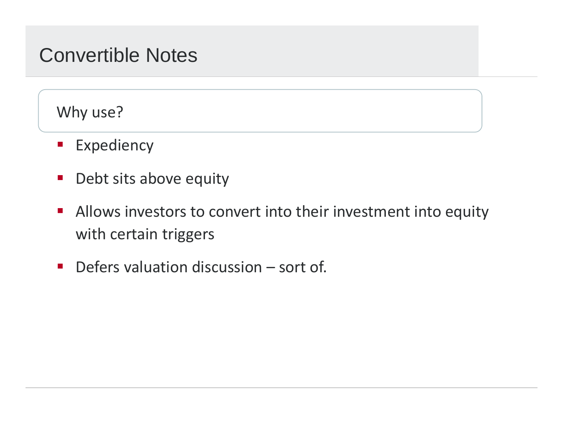## Convertible Notes

Why use?

- **Expediency**
- $\mathcal{L}_{\mathcal{A}}$ **•** Debt sits above equity
- $\mathcal{L}^{\text{max}}_{\text{max}}$ **Allows investors to convert into their investment into equity** with certain triggers
- **Defers valuation discussion sort of.**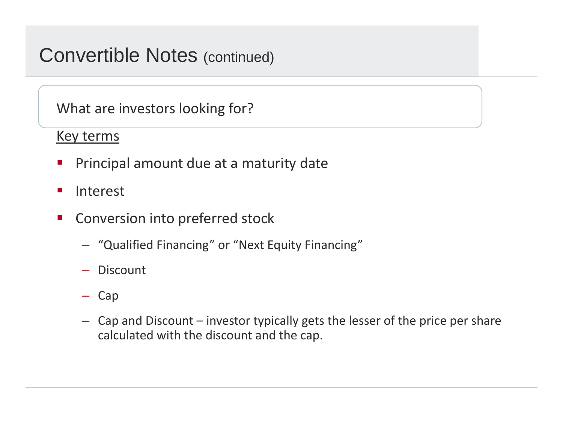## Convertible Notes (continued)

What are investors looking for?

### Key terms

- $\mathcal{L}_{\mathcal{A}}$ Principal amount due at <sup>a</sup> maturity date
- $\mathcal{L}_{\mathcal{A}}$ Interest
- $\mathcal{L}_{\mathcal{A}}$ **EX Conversion into preferred stock** 
	- "Qualified Financing" or "Next Equity Financing"
	- Discount
	- Cap
	- Cap and Discount investor typically gets the lesser of the price per share calculated with the discount and the cap.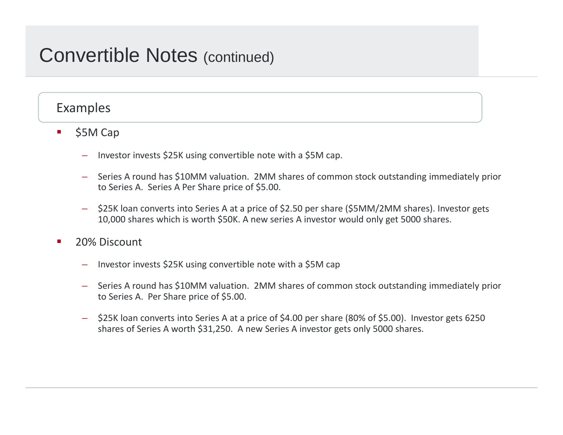### Convertible Notes (continued)

### Examples

- $\blacksquare$  \$5M Cap
	- Investor invests \$25K using convertible note with <sup>a</sup> \$5M cap.
	- Series A round has \$10MM valuation. 2MM shares of common stock outstanding immediately prior to Series A. Series A Per Share price of \$5.00.
	- \$25K loan converts into Series <sup>A</sup> at <sup>a</sup> price of \$2.50 per share (\$5MM/2MM shares). Investor gets 10,000 shares which is worth \$50K. <sup>A</sup> new series <sup>A</sup> investor would only get 5000 shares.
- **20% Discount** 
	- Investor invests \$25K using convertible note with <sup>a</sup> \$5M cap
	- Series A round has \$10MM valuation. 2MM shares of common stock outstanding immediately prior to Series A. Per Share price of \$5.00.
	- \$25K loan converts into Series <sup>A</sup> at <sup>a</sup> price of \$4.00 per share (80% of \$5.00). Investor gets 6250 shares of Series A worth \$31,250. <sup>A</sup> new Series <sup>A</sup> investor gets only 5000 shares.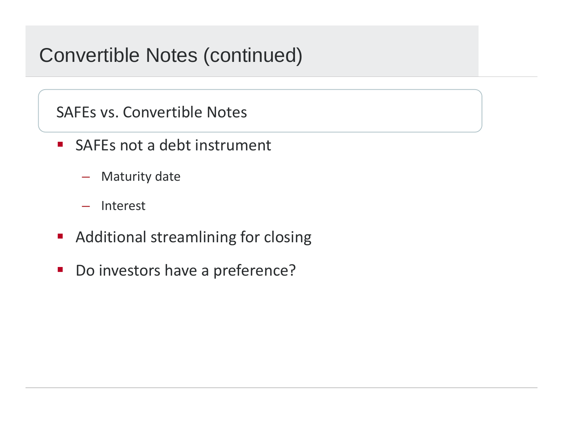# Convertible Notes (continued)

SAFEs vs. Convertible Notes

- $\mathcal{L}^{\text{max}}$  SAFEs not a debt instrument
	- Maturity date
	- –Interest
- **Additional streamlining for closing**
- Do investors have a preference?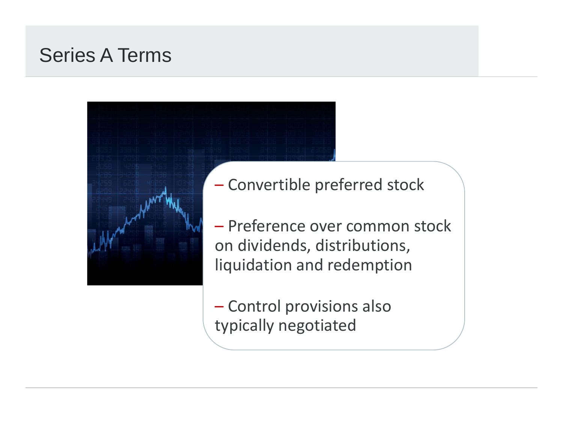# Series A Terms



Convertible preferred stock

– Preference over common stock on dividends, distributions, liquidation and redemption

 Control provisions also typically negotiated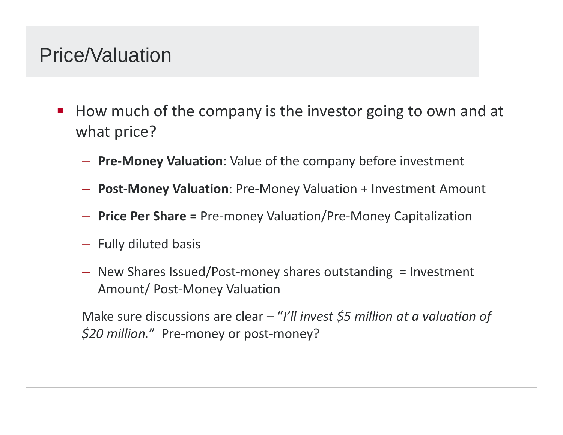# Price/Valuation

- $\mathcal{L}_{\mathcal{A}}$ **How much of the company is the investor going to own and at** what price?
	- **Pre‐Money Valuation**: Value of the company before investment
	- **Post‐Money Valuation**: Pre‐Money Valuation <sup>+</sup> Investment Amount
	- **Price Per Share** <sup>=</sup> Pre‐money Valuation/Pre‐Money Capitalization
	- Fully diluted basis
	- New Shares Issued/Post‐money shares outstanding <sup>=</sup> Investment Amount/ Post‐Money Valuation

Make sure discussions are clear – "*I'll invest \$5 million at <sup>a</sup> valuation of \$20 million.*" Pre‐money or post‐money?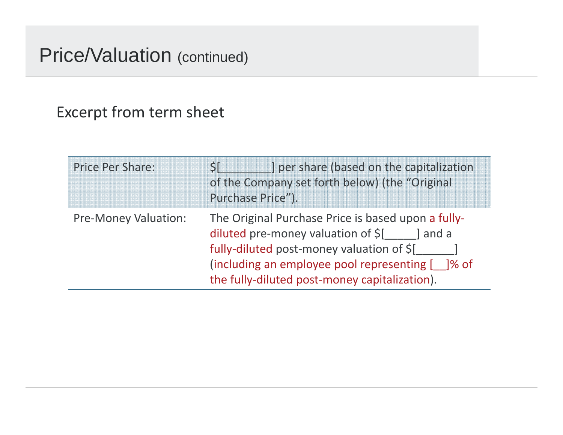### Price/Valuation (continued)

### Excerpt from term sheet

| <b>Price Per Share:</b>     | ] per share (based on the capitalization<br>of the Company set forth below) (the "Original<br>Purchase Price").                                                                                                                                       |
|-----------------------------|-------------------------------------------------------------------------------------------------------------------------------------------------------------------------------------------------------------------------------------------------------|
| <b>Pre-Money Valuation:</b> | The Original Purchase Price is based upon a fully-<br>diluted pre-money valuation of \$[<br>l and a<br>fully-diluted post-money valuation of \$[<br>(including an employee pool representing [ ]% of<br>the fully-diluted post-money capitalization). |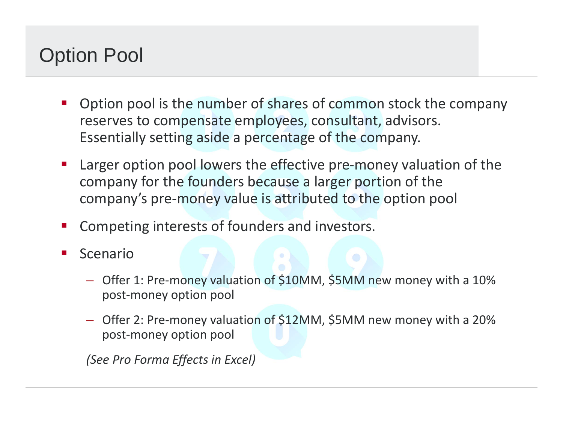# Option Pool

- $\mathcal{L}_{\mathcal{A}}$  Option pool is the number of shares of common stock the company reserves to compensate employees, consultant, advisors. Essentially setting aside <sup>a</sup> percentage of the company.
- $\mathcal{L}_{\mathcal{A}}$ Larger option pool lowers the effective pre-money valuation of the company for the founders because <sup>a</sup> larger portion of the company's pre‐money value is attributed to the option pool
- $\mathcal{L}_{\mathcal{A}}$ Competing interests of founders and investors.
- $\mathcal{L}_{\mathcal{A}}$  Scenario
	- Offer 1: Pre‐money valuation of \$10MM, \$5MM new money with <sup>a</sup> 10% post‐money option pool
	- Offer 2: Pre‐money valuation of \$12MM, \$5MM new money with <sup>a</sup> 20% post‐money option pool

*(See Pro Forma Effects in Excel)*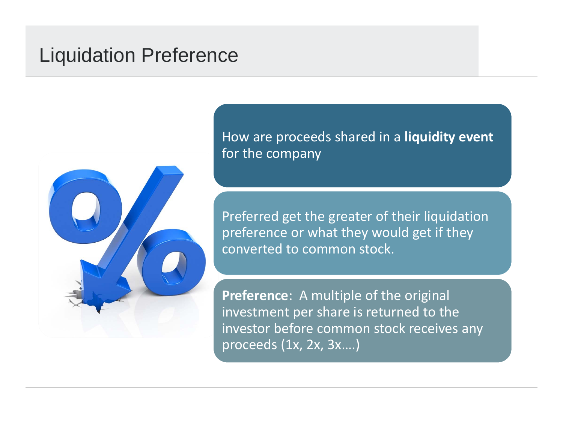## Liquidation Preference



How are proceeds shared in <sup>a</sup> **liquidity event** for the company

Preferred get the greater of their liquidation preference or what they would get if they converted to common stock.

**Preference**: A multiple of the original investment per share is returned to the investor before common stock receives any proceeds (1x, 2x, 3x….)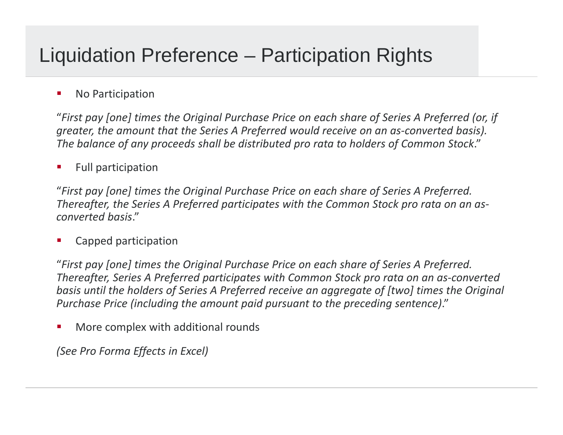# Liquidation Preference – Participation Rights

#### **No Participation**

"*First pay [one] times the Original Purchase Price on each share of Series A Preferred (or, if greater, the amount that the Series A Preferred would receive on an as‐converted basis). The balance of any proceeds shall be distributed pro rata to holders of Common Stock*."

 $\mathcal{L}_{\mathcal{A}}$ Full participation

"*First pay [one] times the Original Purchase Price on each share of Series A Preferred. Thereafter, the Series A Preferred participates with the Common Stock pro rata on an as‐ converted basis*."

Capped participation

"*First pay [one] times the Original Purchase Price on each share of Series A Preferred. Thereafter, Series A Preferred participates with Common Stock pro rata on an as‐converted basis until the holders of Series A Preferred receive an aggregate of [two] times the Original Purchase Price (including the amount paid pursuant to the preceding sentence)*."

I. **• More complex with additional rounds** 

*(See Pro Forma Effects in Excel)*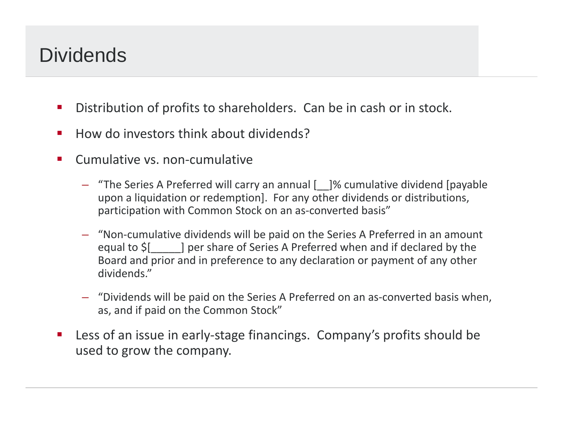# **Dividends**

- $\mathcal{L}_{\mathcal{A}}$ **Distribution of profits to shareholders. Can be in cash or in stock.**
- $\blacksquare$ ■ How do investors think about dividends?
- P. ■ Cumulative vs. non-cumulative
	- "The Series A Preferred will carry an annual [\_\_]% cumulative dividend [payable upon <sup>a</sup> liquidation or redemption]. For any other dividends or distributions, participation with Common Stock on an as-converted basis"
	- "Non‐cumulative dividends will be paid on the Series A Preferred in an amount equal to \$[\_\_\_\_\_] per share of Series <sup>A</sup> Preferred when and if declared by the Board and prior and in preference to any declaration or payment of any other dividends."
	- "Dividends will be paid on the Series A Preferred on an as‐converted basis when, as, and if paid on the Common Stock"
- $\mathcal{L}_{\mathcal{A}}$ ■ Less of an issue in early-stage financings. Company's profits should be used to grow the company.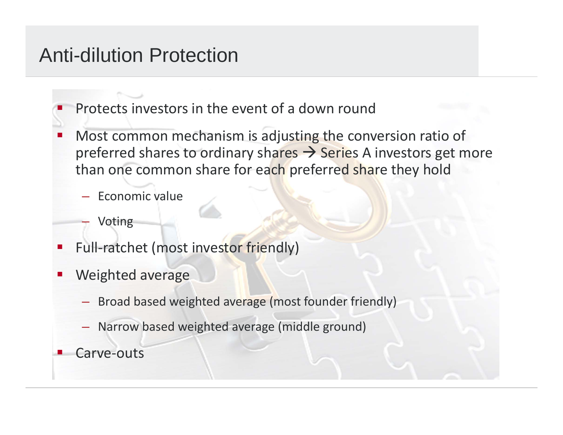## Anti-dilution Protection

- Ξ **Protects investors in the event of a down round**
- T. **Most common mechanism is adjusting the conversion ratio of** preferred shares to ordinary shares  $\rightarrow$  Series A investors get more than one common share for ea<mark>ch</mark> preferred share they hold
	- Economic value
		- Voting
- $\mathcal{L}_{\mathcal{A}}$ Full-ratchet (most investor friendly)
- an<br>Ma Weighted average
	- Broad based weighted average (most founder friendly)
	- Narrow based weighted average (middle ground)
- an<br>Ma Carve‐outs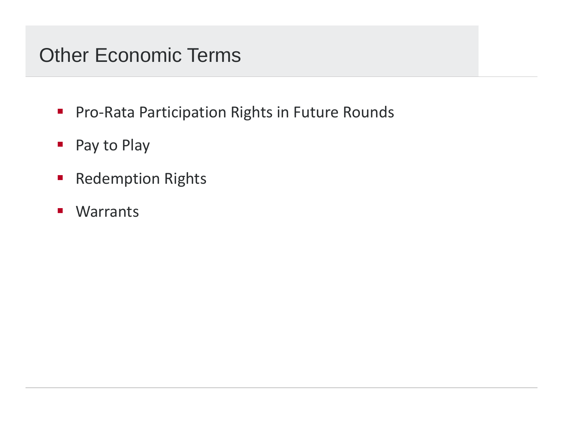# Other Economic Terms

- Pro-Rata Participation Rights in Future Rounds
- **Pay to Play**
- **Redemption Rights**
- $\mathcal{L}_{\mathcal{A}}$ Warrants